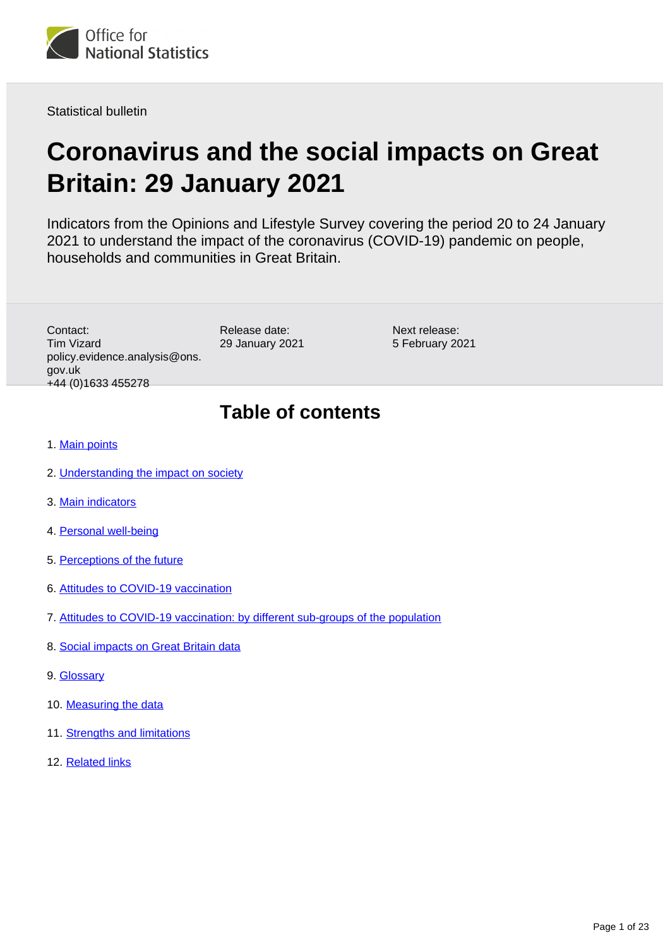

Statistical bulletin

# **Coronavirus and the social impacts on Great Britain: 29 January 2021**

Indicators from the Opinions and Lifestyle Survey covering the period 20 to 24 January 2021 to understand the impact of the coronavirus (COVID-19) pandemic on people, households and communities in Great Britain.

Contact: Tim Vizard policy.evidence.analysis@ons. gov.uk +44 (0)1633 455278

Release date: 29 January 2021

Next release: 5 February 2021

# **Table of contents**

- 1. [Main points](#page-1-0)
- 2. [Understanding the impact on society](#page-2-0)
- 3. [Main indicators](#page-2-1)
- 4. [Personal well-being](#page-3-0)
- 5. [Perceptions of the future](#page-3-1)
- 6. [Attitudes to COVID-19 vaccination](#page-4-0)
- 7. [Attitudes to COVID-19 vaccination: by different sub-groups of the population](#page-8-0)
- 8. [Social impacts on Great Britain data](#page-17-0)
- 9. [Glossary](#page-17-1)
- 10. [Measuring the data](#page-20-0)
- 11. [Strengths and limitations](#page-21-0)
- 12. [Related links](#page-22-0)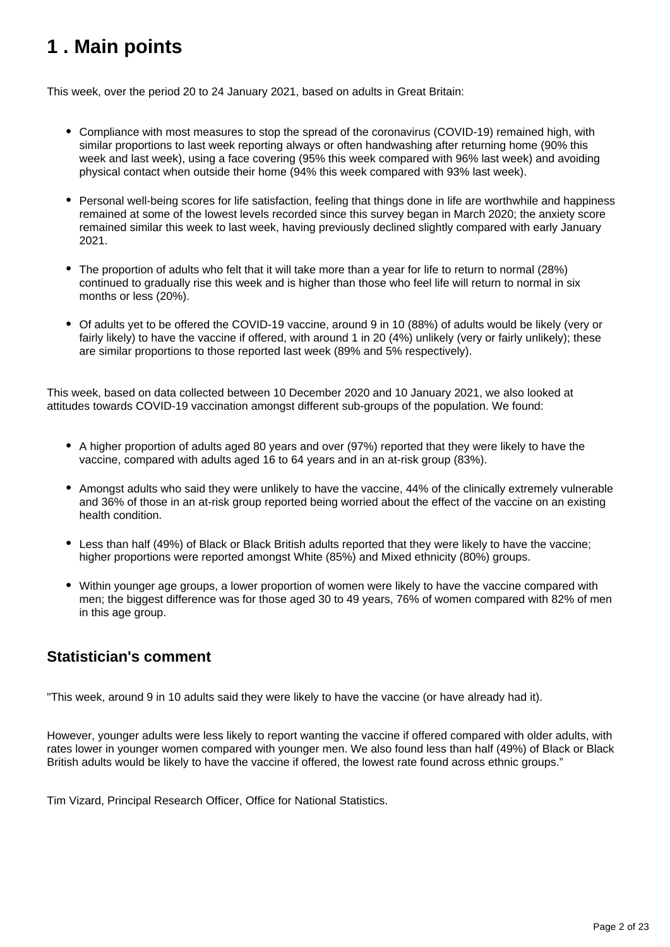# <span id="page-1-0"></span>**1 . Main points**

This week, over the period 20 to 24 January 2021, based on adults in Great Britain:

- Compliance with most measures to stop the spread of the coronavirus (COVID-19) remained high, with similar proportions to last week reporting always or often handwashing after returning home (90% this week and last week), using a face covering (95% this week compared with 96% last week) and avoiding physical contact when outside their home (94% this week compared with 93% last week).
- Personal well-being scores for life satisfaction, feeling that things done in life are worthwhile and happiness remained at some of the lowest levels recorded since this survey began in March 2020; the anxiety score remained similar this week to last week, having previously declined slightly compared with early January 2021.
- The proportion of adults who felt that it will take more than a year for life to return to normal (28%) continued to gradually rise this week and is higher than those who feel life will return to normal in six months or less (20%).
- Of adults yet to be offered the COVID-19 vaccine, around 9 in 10 (88%) of adults would be likely (very or fairly likely) to have the vaccine if offered, with around 1 in 20 (4%) unlikely (very or fairly unlikely); these are similar proportions to those reported last week (89% and 5% respectively).

This week, based on data collected between 10 December 2020 and 10 January 2021, we also looked at attitudes towards COVID-19 vaccination amongst different sub-groups of the population. We found:

- A higher proportion of adults aged 80 years and over (97%) reported that they were likely to have the vaccine, compared with adults aged 16 to 64 years and in an at-risk group (83%).
- Amongst adults who said they were unlikely to have the vaccine, 44% of the clinically extremely vulnerable and 36% of those in an at-risk group reported being worried about the effect of the vaccine on an existing health condition.
- Less than half (49%) of Black or Black British adults reported that they were likely to have the vaccine; higher proportions were reported amongst White (85%) and Mixed ethnicity (80%) groups.
- Within younger age groups, a lower proportion of women were likely to have the vaccine compared with men; the biggest difference was for those aged 30 to 49 years, 76% of women compared with 82% of men in this age group.

## **Statistician's comment**

"This week, around 9 in 10 adults said they were likely to have the vaccine (or have already had it).

However, younger adults were less likely to report wanting the vaccine if offered compared with older adults, with rates lower in younger women compared with younger men. We also found less than half (49%) of Black or Black British adults would be likely to have the vaccine if offered, the lowest rate found across ethnic groups."

Tim Vizard, Principal Research Officer, Office for National Statistics.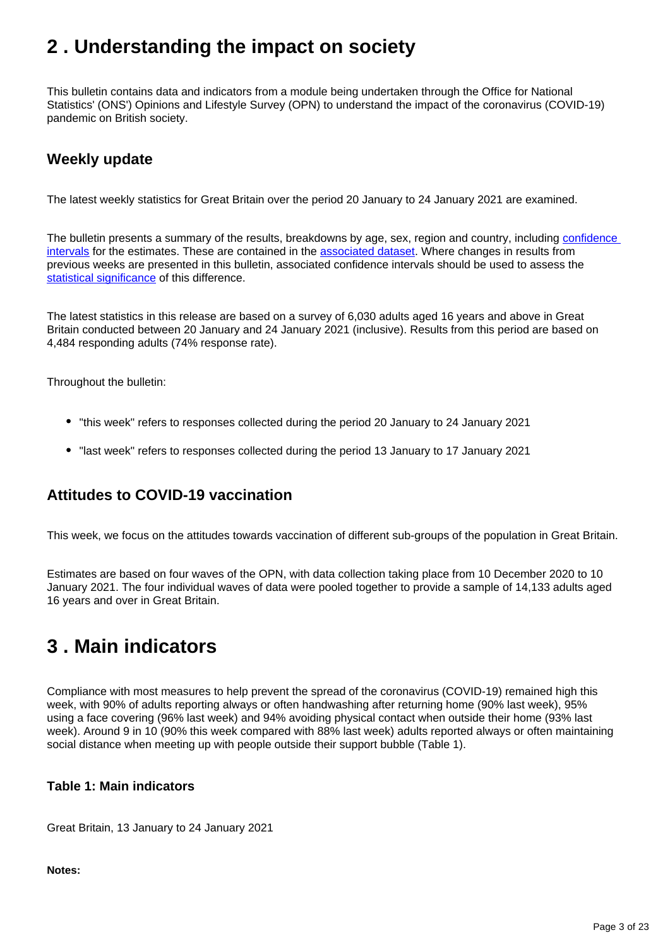# <span id="page-2-0"></span>**2 . Understanding the impact on society**

This bulletin contains data and indicators from a module being undertaken through the Office for National Statistics' (ONS') Opinions and Lifestyle Survey (OPN) to understand the impact of the coronavirus (COVID-19) pandemic on British society.

## **Weekly update**

The latest weekly statistics for Great Britain over the period 20 January to 24 January 2021 are examined.

The bulletin presents a summary of the results, breakdowns by age, sex, region and country, including confidence [intervals](https://www.ons.gov.uk/methodology/methodologytopicsandstatisticalconcepts/uncertaintyandhowwemeasureit#confidence-interval) for the estimates. These are contained in the [associated dataset.](https://www.ons.gov.uk/peoplepopulationandcommunity/healthandsocialcare/healthandwellbeing/bulletins/coronavirusandthesocialimpactsongreatbritain/29january2021/relateddata) Where changes in results from previous weeks are presented in this bulletin, associated confidence intervals should be used to assess the [statistical significance](https://www.ons.gov.uk/methodology/methodologytopicsandstatisticalconcepts/uncertaintyandhowwemeasureit#statistical-significance) of this difference.

The latest statistics in this release are based on a survey of 6,030 adults aged 16 years and above in Great Britain conducted between 20 January and 24 January 2021 (inclusive). Results from this period are based on 4,484 responding adults (74% response rate).

Throughout the bulletin:

- "this week" refers to responses collected during the period 20 January to 24 January 2021
- "last week" refers to responses collected during the period 13 January to 17 January 2021

## **Attitudes to COVID-19 vaccination**

This week, we focus on the attitudes towards vaccination of different sub-groups of the population in Great Britain.

Estimates are based on four waves of the OPN, with data collection taking place from 10 December 2020 to 10 January 2021. The four individual waves of data were pooled together to provide a sample of 14,133 adults aged 16 years and over in Great Britain.

# <span id="page-2-1"></span>**3 . Main indicators**

Compliance with most measures to help prevent the spread of the coronavirus (COVID-19) remained high this week, with 90% of adults reporting always or often handwashing after returning home (90% last week), 95% using a face covering (96% last week) and 94% avoiding physical contact when outside their home (93% last week). Around 9 in 10 (90% this week compared with 88% last week) adults reported always or often maintaining social distance when meeting up with people outside their support bubble (Table 1).

#### **Table 1: Main indicators**

Great Britain, 13 January to 24 January 2021

**Notes:**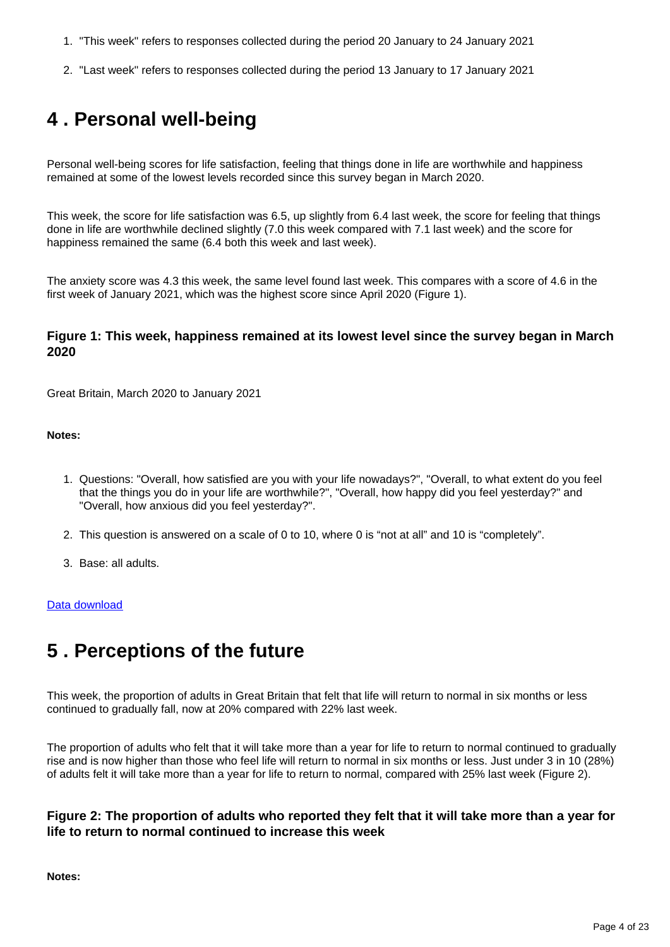- 1. "This week" refers to responses collected during the period 20 January to 24 January 2021
- 2. "Last week" refers to responses collected during the period 13 January to 17 January 2021

# <span id="page-3-0"></span>**4 . Personal well-being**

Personal well-being scores for life satisfaction, feeling that things done in life are worthwhile and happiness remained at some of the lowest levels recorded since this survey began in March 2020.

This week, the score for life satisfaction was 6.5, up slightly from 6.4 last week, the score for feeling that things done in life are worthwhile declined slightly (7.0 this week compared with 7.1 last week) and the score for happiness remained the same (6.4 both this week and last week).

The anxiety score was 4.3 this week, the same level found last week. This compares with a score of 4.6 in the first week of January 2021, which was the highest score since April 2020 (Figure 1).

#### **Figure 1: This week, happiness remained at its lowest level since the survey began in March 2020**

Great Britain, March 2020 to January 2021

#### **Notes:**

- 1. Questions: "Overall, how satisfied are you with your life nowadays?", "Overall, to what extent do you feel that the things you do in your life are worthwhile?", "Overall, how happy did you feel yesterday?" and "Overall, how anxious did you feel yesterday?".
- 2. This question is answered on a scale of 0 to 10, where 0 is "not at all" and 10 is "completely".
- 3. Base: all adults.

#### [Data download](https://www.ons.gov.uk/visualisations/dvc1161/wellbeing/wrapper/datadownload.xlsx)

# <span id="page-3-1"></span>**5 . Perceptions of the future**

This week, the proportion of adults in Great Britain that felt that life will return to normal in six months or less continued to gradually fall, now at 20% compared with 22% last week.

The proportion of adults who felt that it will take more than a year for life to return to normal continued to gradually rise and is now higher than those who feel life will return to normal in six months or less. Just under 3 in 10 (28%) of adults felt it will take more than a year for life to return to normal, compared with 25% last week (Figure 2).

#### **Figure 2: The proportion of adults who reported they felt that it will take more than a year for life to return to normal continued to increase this week**

**Notes:**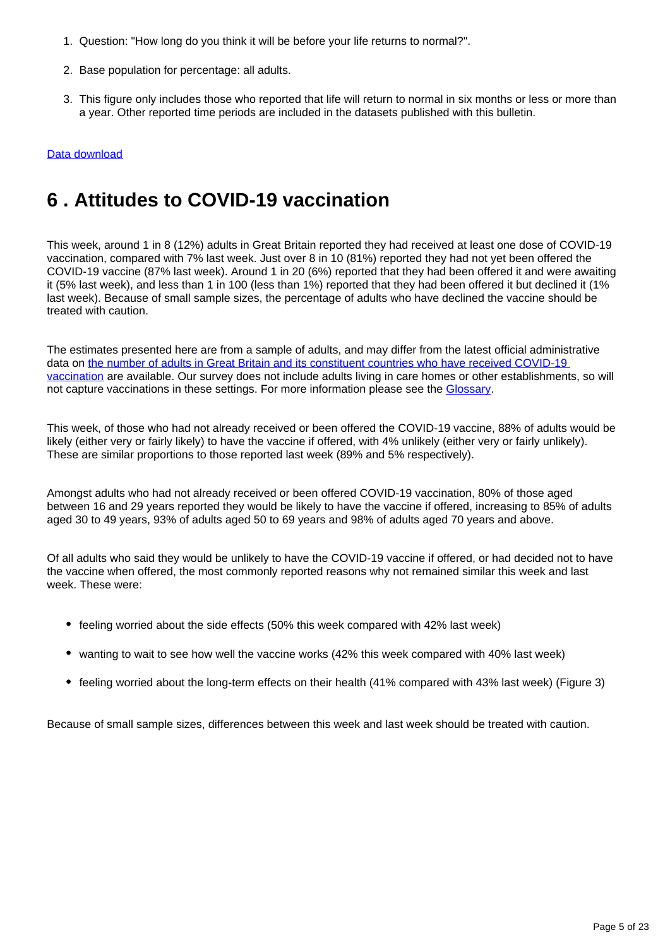- 1. Question: "How long do you think it will be before your life returns to normal?".
- 2. Base population for percentage: all adults.
- 3. This figure only includes those who reported that life will return to normal in six months or less or more than a year. Other reported time periods are included in the datasets published with this bulletin.

#### [Data download](https://www.ons.gov.uk/visualisations/dvc1161/fig2/datadownload.xlsx)

# <span id="page-4-0"></span>**6 . Attitudes to COVID-19 vaccination**

This week, around 1 in 8 (12%) adults in Great Britain reported they had received at least one dose of COVID-19 vaccination, compared with 7% last week. Just over 8 in 10 (81%) reported they had not yet been offered the COVID-19 vaccine (87% last week). Around 1 in 20 (6%) reported that they had been offered it and were awaiting it (5% last week), and less than 1 in 100 (less than 1%) reported that they had been offered it but declined it (1% last week). Because of small sample sizes, the percentage of adults who have declined the vaccine should be treated with caution.

The estimates presented here are from a sample of adults, and may differ from the latest official administrative data on the number of adults in Great Britain and its constituent countries who have received COVID-19 [vaccination](https://coronavirus.data.gov.uk/details/healthcare) are available. Our survey does not include adults living in care homes or other establishments, so will not capture vaccinations in these settings. For more information please see the [Glossary](https://www.ons.gov.uk/peoplepopulationandcommunity/healthandsocialcare/healthandwellbeing/bulletins/coronavirusandthesocialimpactsongreatbritain/29january2021#glossary).

This week, of those who had not already received or been offered the COVID-19 vaccine, 88% of adults would be likely (either very or fairly likely) to have the vaccine if offered, with 4% unlikely (either very or fairly unlikely). These are similar proportions to those reported last week (89% and 5% respectively).

Amongst adults who had not already received or been offered COVID-19 vaccination, 80% of those aged between 16 and 29 years reported they would be likely to have the vaccine if offered, increasing to 85% of adults aged 30 to 49 years, 93% of adults aged 50 to 69 years and 98% of adults aged 70 years and above.

Of all adults who said they would be unlikely to have the COVID-19 vaccine if offered, or had decided not to have the vaccine when offered, the most commonly reported reasons why not remained similar this week and last week. These were:

- feeling worried about the side effects (50% this week compared with 42% last week)
- wanting to wait to see how well the vaccine works (42% this week compared with 40% last week)
- feeling worried about the long-term effects on their health (41% compared with 43% last week) (Figure 3)

Because of small sample sizes, differences between this week and last week should be treated with caution.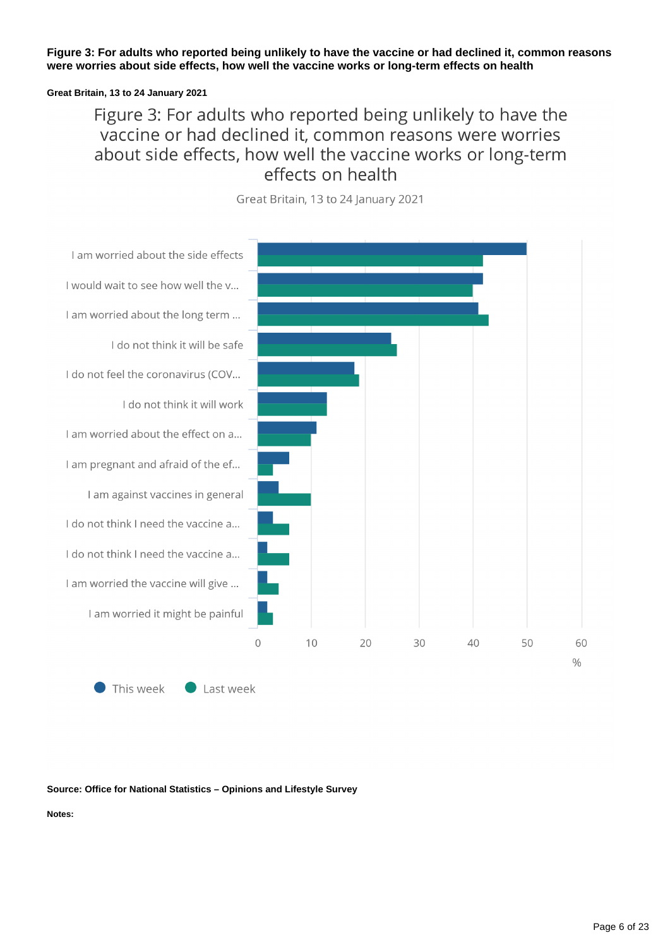**Figure 3: For adults who reported being unlikely to have the vaccine or had declined it, common reasons were worries about side effects, how well the vaccine works or long-term effects on health**

#### **Great Britain, 13 to 24 January 2021**

# Figure 3: For adults who reported being unlikely to have the vaccine or had declined it, common reasons were worries about side effects, how well the vaccine works or long-term effects on health



Great Britain, 13 to 24 January 2021

This week  $\bullet$  Last week

#### **Source: Office for National Statistics – Opinions and Lifestyle Survey**

**Notes:**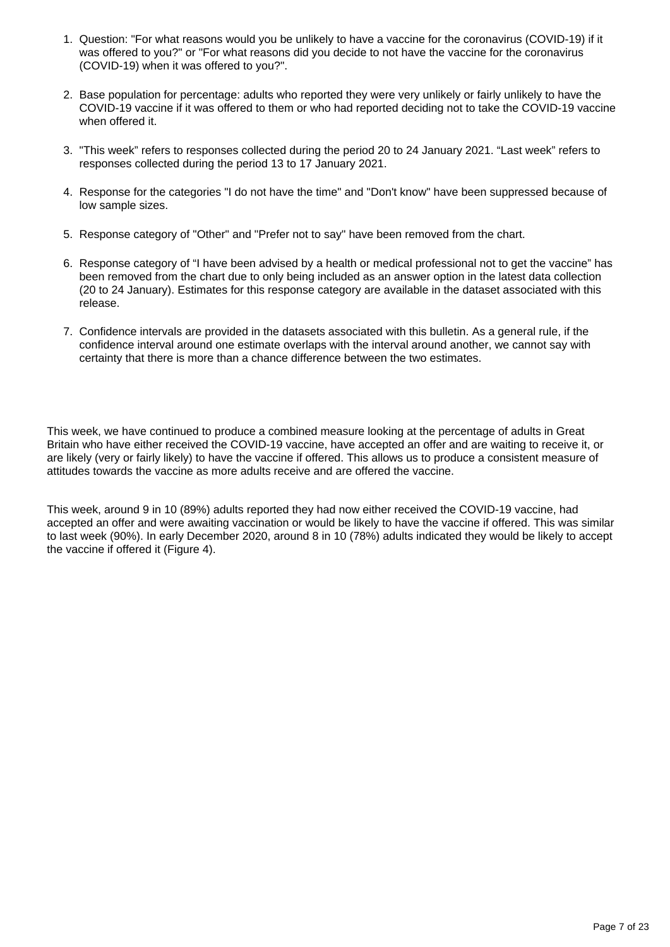- 1. Question: "For what reasons would you be unlikely to have a vaccine for the coronavirus (COVID-19) if it was offered to you?" or "For what reasons did you decide to not have the vaccine for the coronavirus (COVID-19) when it was offered to you?".
- 2. Base population for percentage: adults who reported they were very unlikely or fairly unlikely to have the COVID-19 vaccine if it was offered to them or who had reported deciding not to take the COVID-19 vaccine when offered it.
- 3. "This week" refers to responses collected during the period 20 to 24 January 2021. "Last week" refers to responses collected during the period 13 to 17 January 2021.
- 4. Response for the categories "I do not have the time" and "Don't know" have been suppressed because of low sample sizes.
- 5. Response category of "Other" and "Prefer not to say" have been removed from the chart.
- 6. Response category of "I have been advised by a health or medical professional not to get the vaccine" has been removed from the chart due to only being included as an answer option in the latest data collection (20 to 24 January). Estimates for this response category are available in the dataset associated with this release.
- 7. Confidence intervals are provided in the datasets associated with this bulletin. As a general rule, if the confidence interval around one estimate overlaps with the interval around another, we cannot say with certainty that there is more than a chance difference between the two estimates.

This week, we have continued to produce a combined measure looking at the percentage of adults in Great Britain who have either received the COVID-19 vaccine, have accepted an offer and are waiting to receive it, or are likely (very or fairly likely) to have the vaccine if offered. This allows us to produce a consistent measure of attitudes towards the vaccine as more adults receive and are offered the vaccine.

This week, around 9 in 10 (89%) adults reported they had now either received the COVID-19 vaccine, had accepted an offer and were awaiting vaccination or would be likely to have the vaccine if offered. This was similar to last week (90%). In early December 2020, around 8 in 10 (78%) adults indicated they would be likely to accept the vaccine if offered it (Figure 4).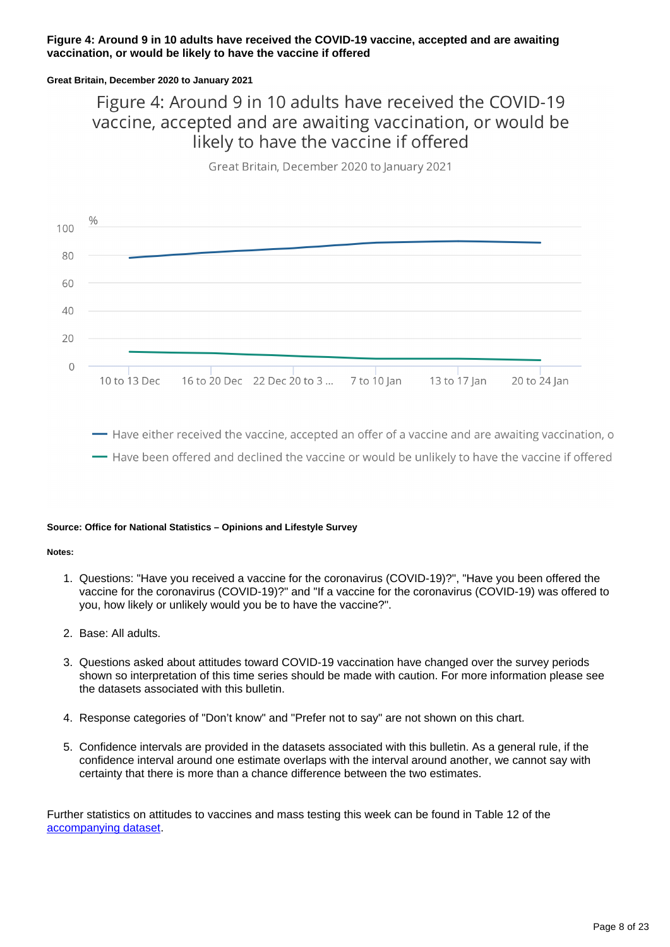#### **Figure 4: Around 9 in 10 adults have received the COVID-19 vaccine, accepted and are awaiting vaccination, or would be likely to have the vaccine if offered**

#### **Great Britain, December 2020 to January 2021**

# Figure 4: Around 9 in 10 adults have received the COVID-19 vaccine, accepted and are awaiting vaccination, or would be likely to have the vaccine if offered

Great Britain, December 2020 to January 2021



- Have either received the vaccine, accepted an offer of a vaccine and are awaiting vaccination, o - Have been offered and declined the vaccine or would be unlikely to have the vaccine if offered

#### **Source: Office for National Statistics – Opinions and Lifestyle Survey**

#### **Notes:**

- 1. Questions: "Have you received a vaccine for the coronavirus (COVID-19)?", "Have you been offered the vaccine for the coronavirus (COVID-19)?" and "If a vaccine for the coronavirus (COVID-19) was offered to you, how likely or unlikely would you be to have the vaccine?".
- 2. Base: All adults.
- 3. Questions asked about attitudes toward COVID-19 vaccination have changed over the survey periods shown so interpretation of this time series should be made with caution. For more information please see the datasets associated with this bulletin.
- 4. Response categories of "Don't know" and "Prefer not to say" are not shown on this chart.
- 5. Confidence intervals are provided in the datasets associated with this bulletin. As a general rule, if the confidence interval around one estimate overlaps with the interval around another, we cannot say with certainty that there is more than a chance difference between the two estimates.

Further statistics on attitudes to vaccines and mass testing this week can be found in Table 12 of the [accompanying dataset.](https://www.ons.gov.uk/peoplepopulationandcommunity/healthandsocialcare/healthandwellbeing/datasets/coronavirusandthesocialimpactsongreatbritaindata)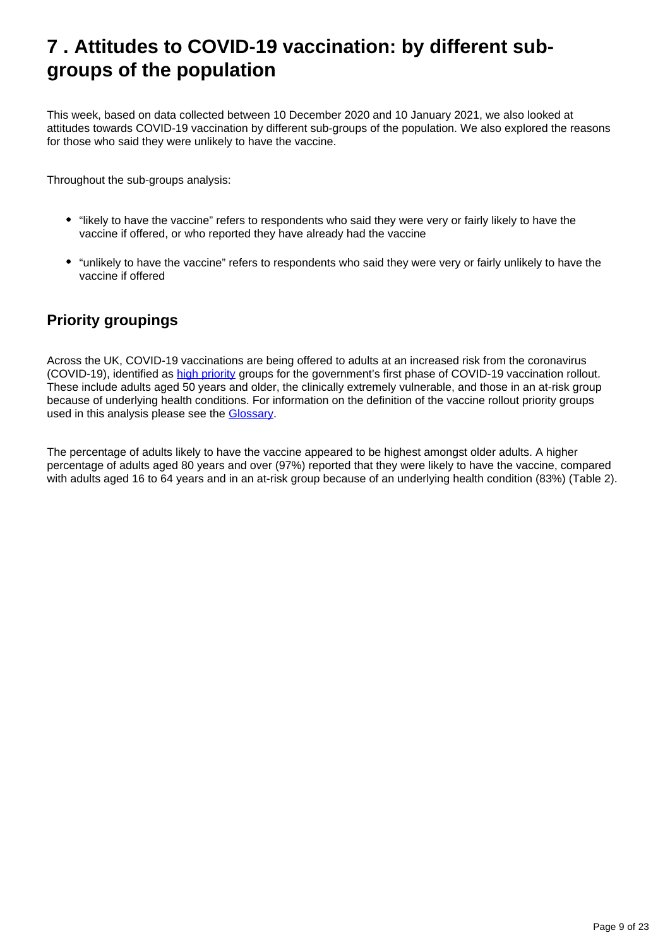# <span id="page-8-0"></span>**7 . Attitudes to COVID-19 vaccination: by different subgroups of the population**

This week, based on data collected between 10 December 2020 and 10 January 2021, we also looked at attitudes towards COVID-19 vaccination by different sub-groups of the population. We also explored the reasons for those who said they were unlikely to have the vaccine.

Throughout the sub-groups analysis:

- "likely to have the vaccine" refers to respondents who said they were very or fairly likely to have the vaccine if offered, or who reported they have already had the vaccine
- "unlikely to have the vaccine" refers to respondents who said they were very or fairly unlikely to have the vaccine if offered

# **Priority groupings**

Across the UK, COVID-19 vaccinations are being offered to adults at an increased risk from the coronavirus (COVID-19), identified as [high priority](https://www.gov.uk/government/publications/covid-19-vaccination-care-home-and-healthcare-settings-posters/covid-19-vaccination-first-phase-priority-groups) groups for the government's first phase of COVID-19 vaccination rollout. These include adults aged 50 years and older, the clinically extremely vulnerable, and those in an at-risk group because of underlying health conditions. For information on the definition of the vaccine rollout priority groups used in this analysis please see the [Glossary](https://www.ons.gov.uk/peoplepopulationandcommunity/healthandsocialcare/healthandwellbeing/bulletins/coronavirusandthesocialimpactsongreatbritain/29january2021#glossary).

The percentage of adults likely to have the vaccine appeared to be highest amongst older adults. A higher percentage of adults aged 80 years and over (97%) reported that they were likely to have the vaccine, compared with adults aged 16 to 64 years and in an at-risk group because of an underlying health condition (83%) (Table 2).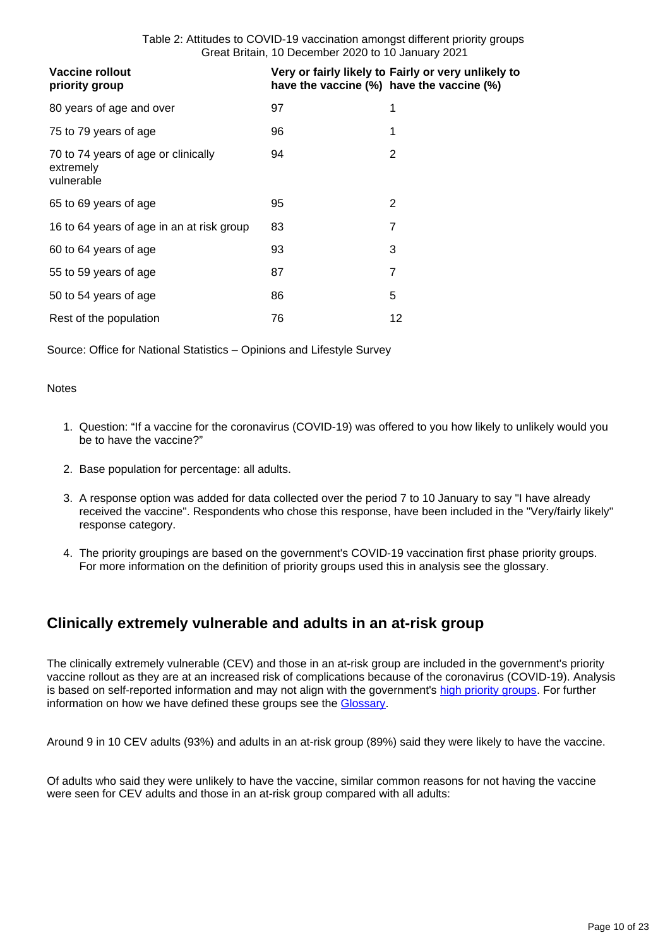| <b>Vaccine rollout</b><br>priority group                       |    | Very or fairly likely to Fairly or very unlikely to<br>have the vaccine (%) have the vaccine (%) |
|----------------------------------------------------------------|----|--------------------------------------------------------------------------------------------------|
| 80 years of age and over                                       | 97 | 1                                                                                                |
| 75 to 79 years of age                                          | 96 | 1                                                                                                |
| 70 to 74 years of age or clinically<br>extremely<br>vulnerable | 94 | 2                                                                                                |
| 65 to 69 years of age                                          | 95 | 2                                                                                                |
| 16 to 64 years of age in an at risk group                      | 83 | 7                                                                                                |
| 60 to 64 years of age                                          | 93 | 3                                                                                                |
| 55 to 59 years of age                                          | 87 | 7                                                                                                |
| 50 to 54 years of age                                          | 86 | 5                                                                                                |
| Rest of the population                                         | 76 | 12                                                                                               |

Source: Office for National Statistics – Opinions and Lifestyle Survey

#### **Notes**

- 1. Question: "If a vaccine for the coronavirus (COVID-19) was offered to you how likely to unlikely would you be to have the vaccine?"
- 2. Base population for percentage: all adults.
- 3. A response option was added for data collected over the period 7 to 10 January to say "I have already received the vaccine". Respondents who chose this response, have been included in the "Very/fairly likely" response category.
- 4. The priority groupings are based on the government's COVID-19 vaccination first phase priority groups. For more information on the definition of priority groups used this in analysis see the glossary.

## **Clinically extremely vulnerable and adults in an at-risk group**

The clinically extremely vulnerable (CEV) and those in an at-risk group are included in the government's priority vaccine rollout as they are at an increased risk of complications because of the coronavirus (COVID-19). Analysis is based on self-reported information and may not align with the government's [high priority groups](https://www.gov.uk/government/publications/covid-19-vaccination-care-home-and-healthcare-settings-posters/covid-19-vaccination-first-phase-priority-groups). For further information on how we have defined these groups see the **Glossary**.

Around 9 in 10 CEV adults (93%) and adults in an at-risk group (89%) said they were likely to have the vaccine.

Of adults who said they were unlikely to have the vaccine, similar common reasons for not having the vaccine were seen for CEV adults and those in an at-risk group compared with all adults: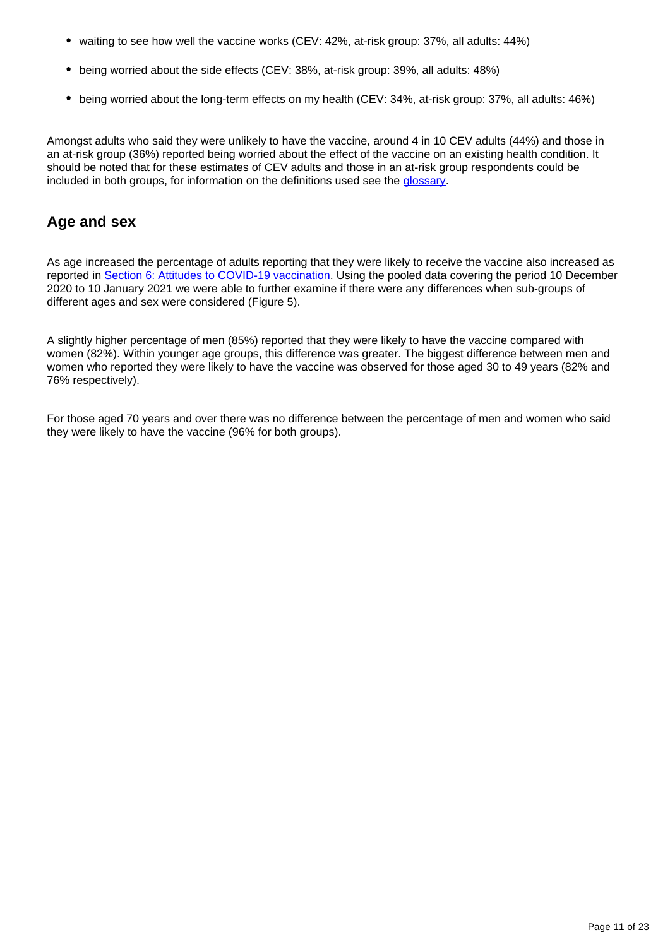- waiting to see how well the vaccine works (CEV: 42%, at-risk group: 37%, all adults: 44%)
- being worried about the side effects (CEV: 38%, at-risk group: 39%, all adults: 48%)
- being worried about the long-term effects on my health (CEV: 34%, at-risk group: 37%, all adults: 46%)

Amongst adults who said they were unlikely to have the vaccine, around 4 in 10 CEV adults (44%) and those in an at-risk group (36%) reported being worried about the effect of the vaccine on an existing health condition. It should be noted that for these estimates of CEV adults and those in an at-risk group respondents could be included in both groups, for information on the definitions used see the [glossary](https://www.ons.gov.uk/peoplepopulationandcommunity/healthandsocialcare/healthandwellbeing/bulletins/coronavirusandthesocialimpactsongreatbritain/29january2021#glossary).

## **Age and sex**

As age increased the percentage of adults reporting that they were likely to receive the vaccine also increased as reported in [Section 6: Attitudes to COVID-19 vaccination.](https://www.ons.gov.uk/peoplepopulationandcommunity/healthandsocialcare/healthandwellbeing/bulletins/coronavirusandthesocialimpactsongreatbritain/29january2021#attitudes-to-covid-19-vaccination) Using the pooled data covering the period 10 December 2020 to 10 January 2021 we were able to further examine if there were any differences when sub-groups of different ages and sex were considered (Figure 5).

A slightly higher percentage of men (85%) reported that they were likely to have the vaccine compared with women (82%). Within younger age groups, this difference was greater. The biggest difference between men and women who reported they were likely to have the vaccine was observed for those aged 30 to 49 years (82% and 76% respectively).

For those aged 70 years and over there was no difference between the percentage of men and women who said they were likely to have the vaccine (96% for both groups).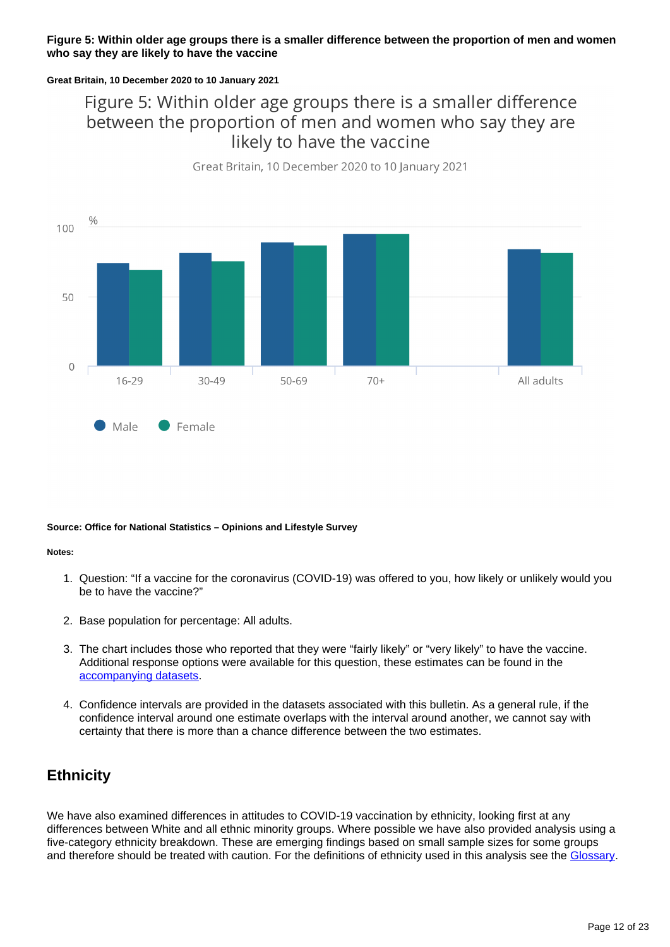#### **Figure 5: Within older age groups there is a smaller difference between the proportion of men and women who say they are likely to have the vaccine**

#### **Great Britain, 10 December 2020 to 10 January 2021**

# Figure 5: Within older age groups there is a smaller difference between the proportion of men and women who say they are likely to have the vaccine



Great Britain, 10 December 2020 to 10 January 2021

#### **Source: Office for National Statistics – Opinions and Lifestyle Survey**

#### **Notes:**

- 1. Question: "If a vaccine for the coronavirus (COVID-19) was offered to you, how likely or unlikely would you be to have the vaccine?"
- 2. Base population for percentage: All adults.
- 3. The chart includes those who reported that they were "fairly likely" or "very likely" to have the vaccine. Additional response options were available for this question, these estimates can be found in the [accompanying datasets.](https://www.ons.gov.uk/peoplepopulationandcommunity/healthandsocialcare/healthandwellbeing/bulletins/coronavirusandthesocialimpactsongreatbritain/29january2021/relateddata)
- 4. Confidence intervals are provided in the datasets associated with this bulletin. As a general rule, if the confidence interval around one estimate overlaps with the interval around another, we cannot say with certainty that there is more than a chance difference between the two estimates.

### **Ethnicity**

We have also examined differences in attitudes to COVID-19 vaccination by ethnicity, looking first at any differences between White and all ethnic minority groups. Where possible we have also provided analysis using a five-category ethnicity breakdown. These are emerging findings based on small sample sizes for some groups and therefore should be treated with caution. For the definitions of ethnicity used in this analysis see the [Glossary.](https://www.ons.gov.uk/peoplepopulationandcommunity/healthandsocialcare/healthandwellbeing/bulletins/coronavirusandthesocialimpactsongreatbritain/29january2021#glossary)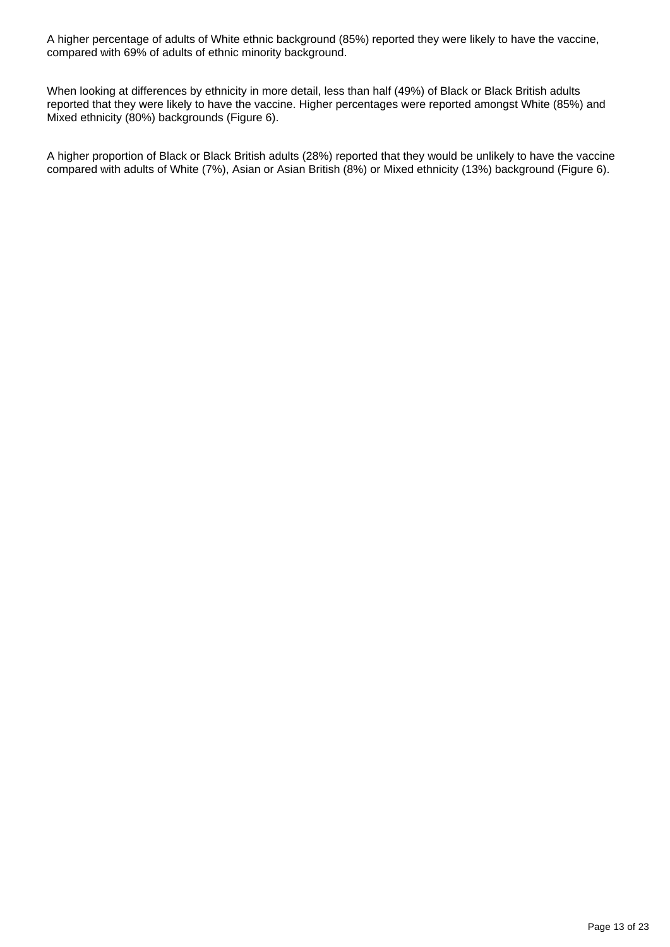A higher percentage of adults of White ethnic background (85%) reported they were likely to have the vaccine, compared with 69% of adults of ethnic minority background.

When looking at differences by ethnicity in more detail, less than half (49%) of Black or Black British adults reported that they were likely to have the vaccine. Higher percentages were reported amongst White (85%) and Mixed ethnicity (80%) backgrounds (Figure 6).

A higher proportion of Black or Black British adults (28%) reported that they would be unlikely to have the vaccine compared with adults of White (7%), Asian or Asian British (8%) or Mixed ethnicity (13%) background (Figure 6).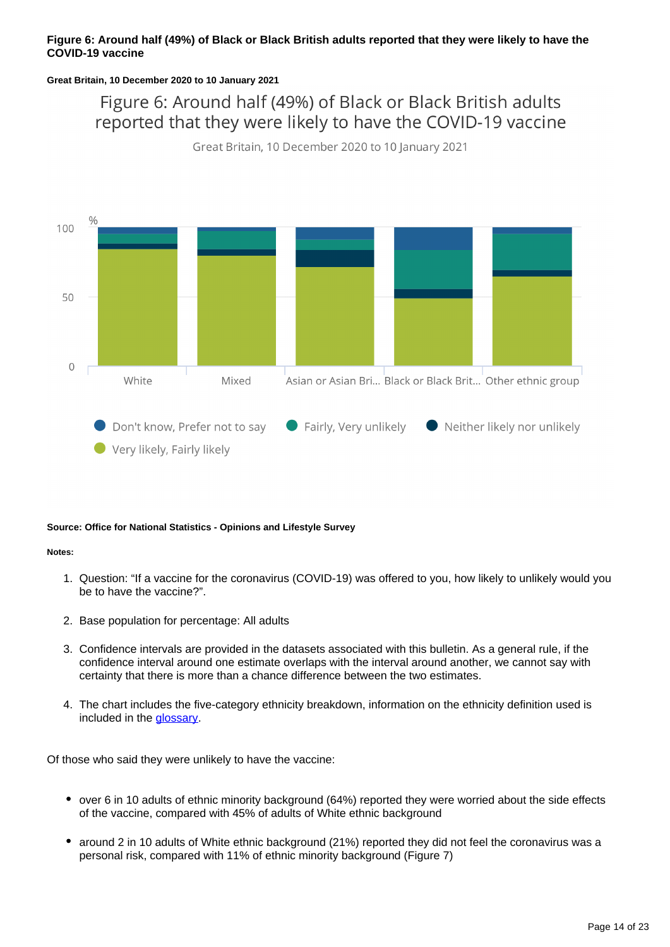#### **Figure 6: Around half (49%) of Black or Black British adults reported that they were likely to have the COVID-19 vaccine**

#### **Great Britain, 10 December 2020 to 10 January 2021**

Figure 6: Around half (49%) of Black or Black British adults reported that they were likely to have the COVID-19 vaccine

Great Britain, 10 December 2020 to 10 January 2021



#### **Source: Office for National Statistics - Opinions and Lifestyle Survey**

#### **Notes:**

- 1. Question: "If a vaccine for the coronavirus (COVID-19) was offered to you, how likely to unlikely would you be to have the vaccine?".
- 2. Base population for percentage: All adults
- 3. Confidence intervals are provided in the datasets associated with this bulletin. As a general rule, if the confidence interval around one estimate overlaps with the interval around another, we cannot say with certainty that there is more than a chance difference between the two estimates.
- 4. The chart includes the five-category ethnicity breakdown, information on the ethnicity definition used is included in the **glossary**.

Of those who said they were unlikely to have the vaccine:

- over 6 in 10 adults of ethnic minority background (64%) reported they were worried about the side effects of the vaccine, compared with 45% of adults of White ethnic background
- around 2 in 10 adults of White ethnic background (21%) reported they did not feel the coronavirus was a personal risk, compared with 11% of ethnic minority background (Figure 7)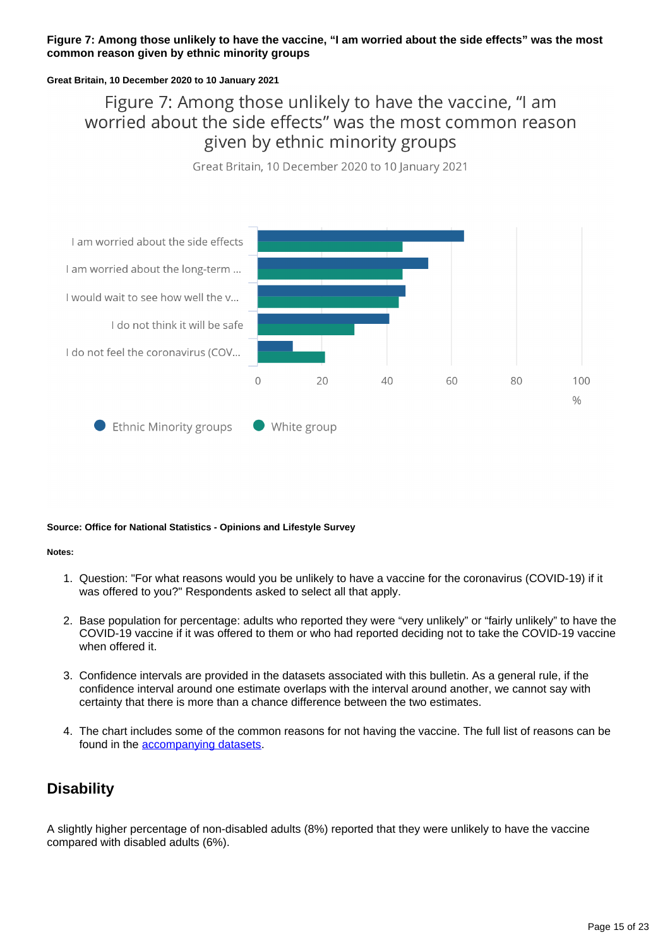#### **Figure 7: Among those unlikely to have the vaccine, "I am worried about the side effects" was the most common reason given by ethnic minority groups**

#### **Great Britain, 10 December 2020 to 10 January 2021**

# Figure 7: Among those unlikely to have the vaccine, "I am worried about the side effects" was the most common reason given by ethnic minority groups

Great Britain, 10 December 2020 to 10 January 2021



#### **Source: Office for National Statistics - Opinions and Lifestyle Survey**

#### **Notes:**

- 1. Question: "For what reasons would you be unlikely to have a vaccine for the coronavirus (COVID-19) if it was offered to you?" Respondents asked to select all that apply.
- 2. Base population for percentage: adults who reported they were "very unlikely" or "fairly unlikely" to have the COVID-19 vaccine if it was offered to them or who had reported deciding not to take the COVID-19 vaccine when offered it.
- 3. Confidence intervals are provided in the datasets associated with this bulletin. As a general rule, if the confidence interval around one estimate overlaps with the interval around another, we cannot say with certainty that there is more than a chance difference between the two estimates.
- 4. The chart includes some of the common reasons for not having the vaccine. The full list of reasons can be found in the [accompanying datasets](https://www.ons.gov.uk/peoplepopulationandcommunity/healthandsocialcare/healthandwellbeing/bulletins/coronavirusandthesocialimpactsongreatbritain/29january2021/relateddata).

### **Disability**

A slightly higher percentage of non-disabled adults (8%) reported that they were unlikely to have the vaccine compared with disabled adults (6%).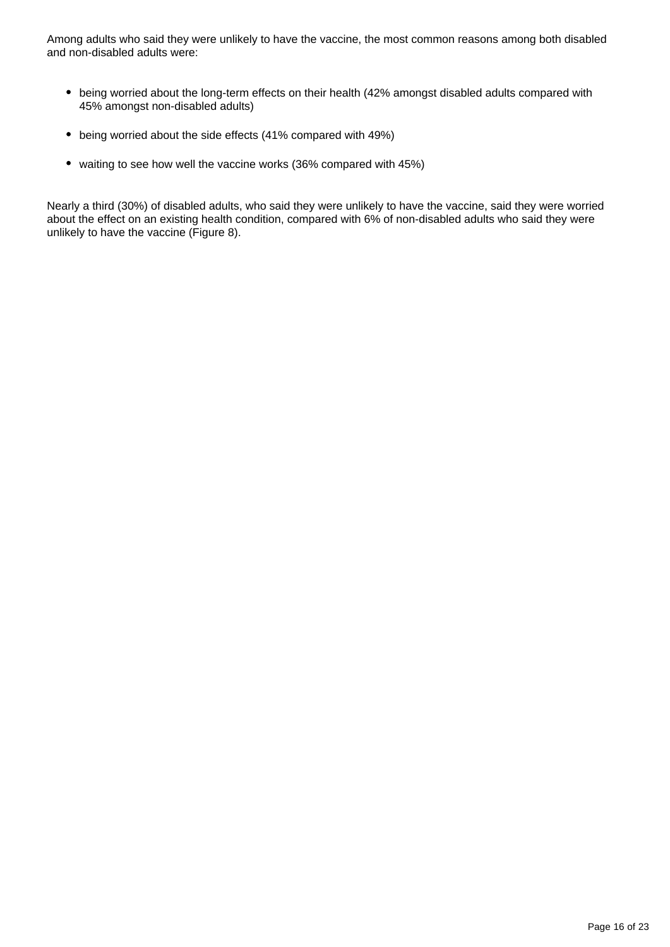Among adults who said they were unlikely to have the vaccine, the most common reasons among both disabled and non-disabled adults were:

- being worried about the long-term effects on their health (42% amongst disabled adults compared with 45% amongst non-disabled adults)
- being worried about the side effects (41% compared with 49%)
- waiting to see how well the vaccine works (36% compared with 45%)

Nearly a third (30%) of disabled adults, who said they were unlikely to have the vaccine, said they were worried about the effect on an existing health condition, compared with 6% of non-disabled adults who said they were unlikely to have the vaccine (Figure 8).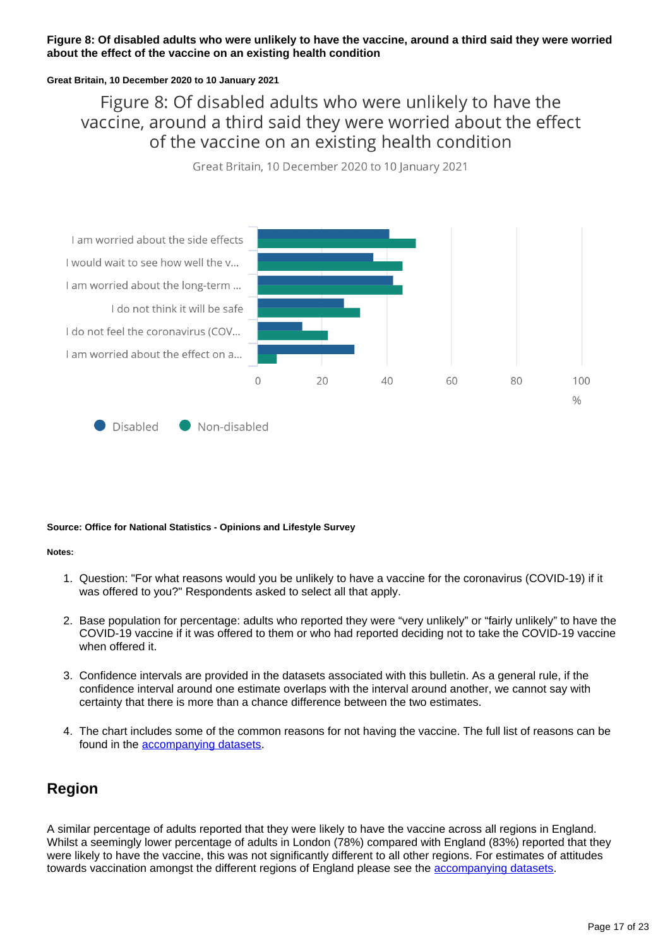#### **Figure 8: Of disabled adults who were unlikely to have the vaccine, around a third said they were worried about the effect of the vaccine on an existing health condition**

#### **Great Britain, 10 December 2020 to 10 January 2021**

# Figure 8: Of disabled adults who were unlikely to have the vaccine, around a third said they were worried about the effect of the vaccine on an existing health condition

Great Britain, 10 December 2020 to 10 January 2021



Disabled Non-disabled

#### **Source: Office for National Statistics - Opinions and Lifestyle Survey**

#### **Notes:**

- 1. Question: "For what reasons would you be unlikely to have a vaccine for the coronavirus (COVID-19) if it was offered to you?" Respondents asked to select all that apply.
- 2. Base population for percentage: adults who reported they were "very unlikely" or "fairly unlikely" to have the COVID-19 vaccine if it was offered to them or who had reported deciding not to take the COVID-19 vaccine when offered it.
- 3. Confidence intervals are provided in the datasets associated with this bulletin. As a general rule, if the confidence interval around one estimate overlaps with the interval around another, we cannot say with certainty that there is more than a chance difference between the two estimates.
- 4. The chart includes some of the common reasons for not having the vaccine. The full list of reasons can be found in the [accompanying datasets](https://publishing.ons.gov.uk/peoplepopulationandcommunity/healthandsocialcare/healthandwellbeing/bulletins/coronavirusandthesocialimpactsongreatbritain/29january2021/relateddata).

### **Region**

A similar percentage of adults reported that they were likely to have the vaccine across all regions in England. Whilst a seemingly lower percentage of adults in London (78%) compared with England (83%) reported that they were likely to have the vaccine, this was not significantly different to all other regions. For estimates of attitudes towards vaccination amongst the different regions of England please see the [accompanying datasets](https://www.ons.gov.uk/peoplepopulationandcommunity/healthandsocialcare/healthandwellbeing/datasets/coronavirusandthesocialimpactsongreatbritaindata).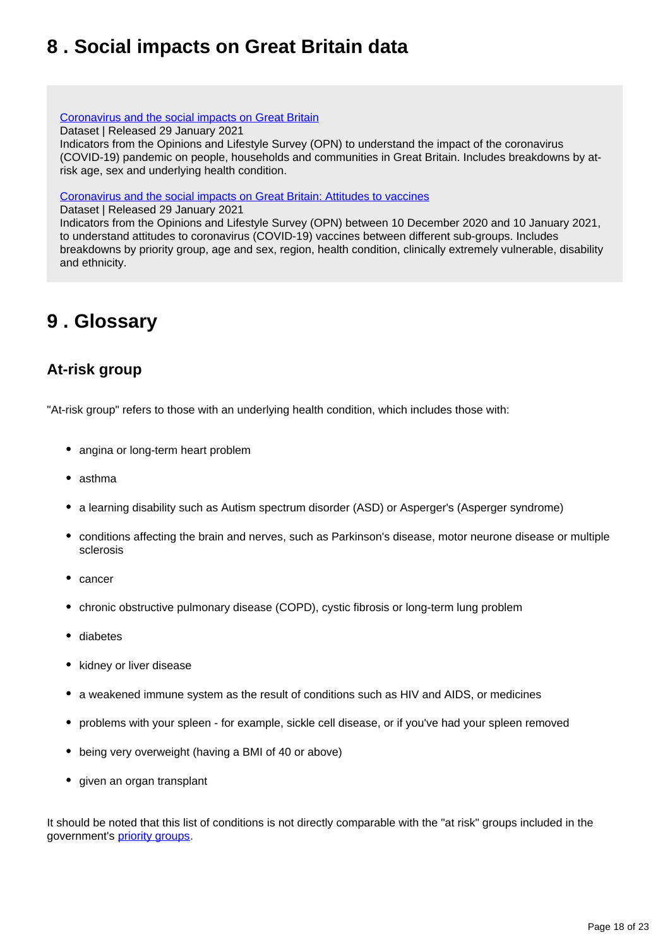# <span id="page-17-0"></span>**8 . Social impacts on Great Britain data**

[Coronavirus and the social impacts on Great Britain](https://www.ons.gov.uk/peoplepopulationandcommunity/healthandsocialcare/healthandwellbeing/datasets/coronavirusandthesocialimpactsongreatbritaindata)

Dataset | Released 29 January 2021

Indicators from the Opinions and Lifestyle Survey (OPN) to understand the impact of the coronavirus (COVID-19) pandemic on people, households and communities in Great Britain. Includes breakdowns by atrisk age, sex and underlying health condition.

[Coronavirus and the social impacts on Great Britain: Attitudes to vaccines](https://www.ons.gov.uk/peoplepopulationandcommunity/healthandsocialcare/healthandwellbeing/datasets/coronavirusandthesocialimpactsongreatbritaindata)

Dataset | Released 29 January 2021

Indicators from the Opinions and Lifestyle Survey (OPN) between 10 December 2020 and 10 January 2021, to understand attitudes to coronavirus (COVID-19) vaccines between different sub-groups. Includes breakdowns by priority group, age and sex, region, health condition, clinically extremely vulnerable, disability and ethnicity.

# <span id="page-17-1"></span>**9 . Glossary**

# **At-risk group**

"At-risk group" refers to those with an underlying health condition, which includes those with:

- angina or long-term heart problem
- asthma
- a learning disability such as Autism spectrum disorder (ASD) or Asperger's (Asperger syndrome)
- conditions affecting the brain and nerves, such as Parkinson's disease, motor neurone disease or multiple sclerosis
- cancer
- chronic obstructive pulmonary disease (COPD), cystic fibrosis or long-term lung problem
- diabetes
- kidney or liver disease
- a weakened immune system as the result of conditions such as HIV and AIDS, or medicines
- problems with your spleen for example, sickle cell disease, or if you've had your spleen removed
- being very overweight (having a BMI of 40 or above)
- given an organ transplant

It should be noted that this list of conditions is not directly comparable with the "at risk" groups included in the government's [priority groups.](https://www.gov.uk/government/publications/covid-19-vaccination-care-home-and-healthcare-settings-posters/covid-19-vaccination-first-phase-priority-groups)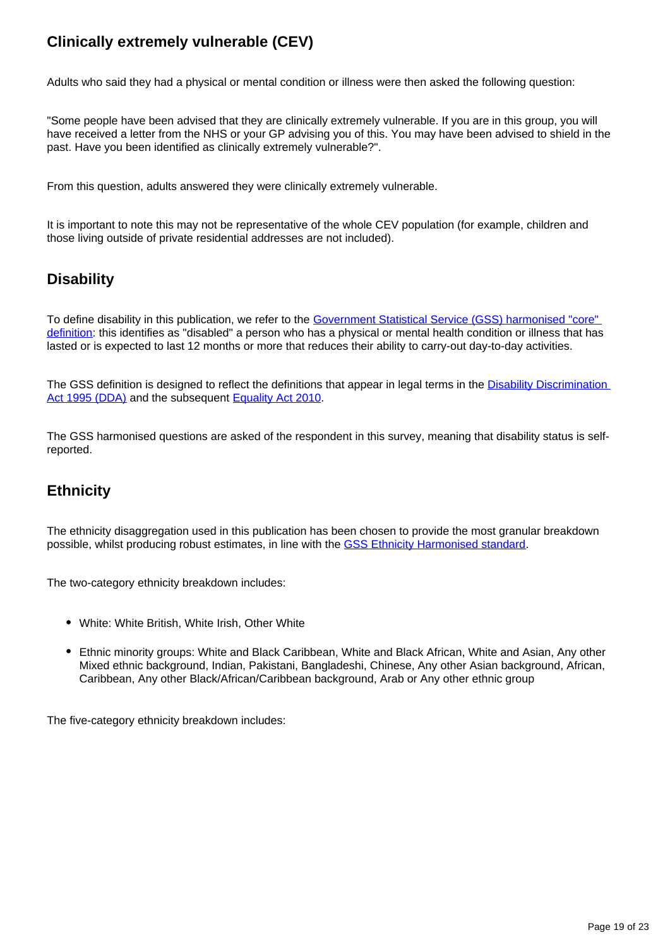# **Clinically extremely vulnerable (CEV)**

Adults who said they had a physical or mental condition or illness were then asked the following question:

"Some people have been advised that they are clinically extremely vulnerable. If you are in this group, you will have received a letter from the NHS or your GP advising you of this. You may have been advised to shield in the past. Have you been identified as clinically extremely vulnerable?".

From this question, adults answered they were clinically extremely vulnerable.

It is important to note this may not be representative of the whole CEV population (for example, children and those living outside of private residential addresses are not included).

## **Disability**

To define disability in this publication, we refer to the [Government Statistical Service \(GSS\) harmonised "core"](https://gss.civilservice.gov.uk/policy-store/measuring-disability-for-the-equality-act-2010/)  [definition](https://gss.civilservice.gov.uk/policy-store/measuring-disability-for-the-equality-act-2010/): this identifies as "disabled" a person who has a physical or mental health condition or illness that has lasted or is expected to last 12 months or more that reduces their ability to carry-out day-to-day activities.

The GSS definition is designed to reflect the definitions that appear in legal terms in the Disability Discrimination [Act 1995 \(DDA\)](http://www.legislation.gov.uk/ukpga/1995/50/contents) and the subsequent [Equality Act 2010](http://www.legislation.gov.uk/ukpga/2010/15/section/6).

The GSS harmonised questions are asked of the respondent in this survey, meaning that disability status is selfreported.

# **Ethnicity**

The ethnicity disaggregation used in this publication has been chosen to provide the most granular breakdown possible, whilst producing robust estimates, in line with the [GSS Ethnicity Harmonised standard](https://gss.civilservice.gov.uk/policy-store/ethnicity/).

The two-category ethnicity breakdown includes:

- White: White British, White Irish, Other White
- Ethnic minority groups: White and Black Caribbean, White and Black African, White and Asian, Any other Mixed ethnic background, Indian, Pakistani, Bangladeshi, Chinese, Any other Asian background, African, Caribbean, Any other Black/African/Caribbean background, Arab or Any other ethnic group

The five-category ethnicity breakdown includes: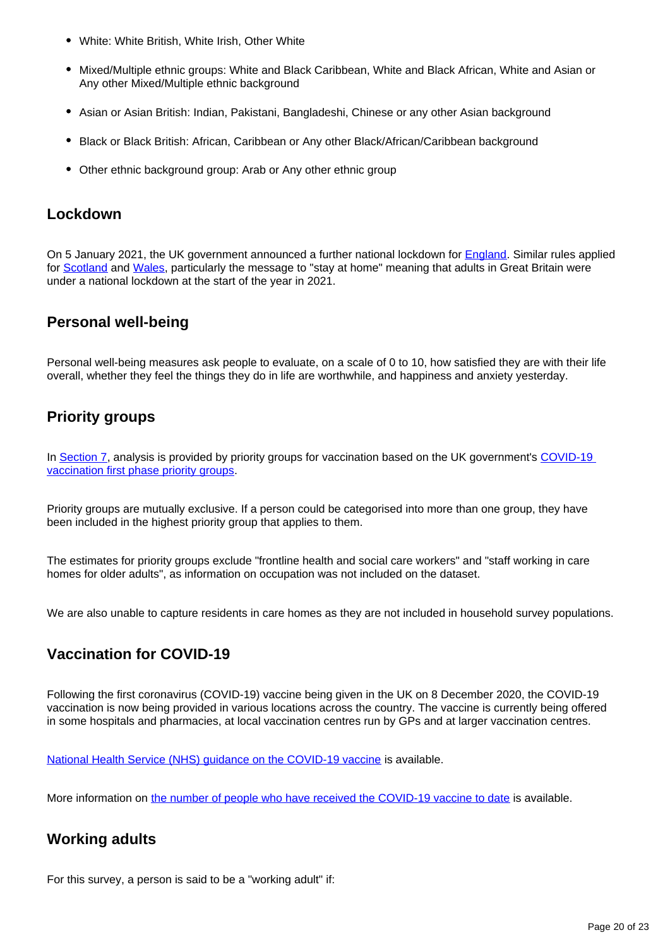- White: White British, White Irish, Other White
- Mixed/Multiple ethnic groups: White and Black Caribbean, White and Black African, White and Asian or Any other Mixed/Multiple ethnic background
- Asian or Asian British: Indian, Pakistani, Bangladeshi, Chinese or any other Asian background
- Black or Black British: African, Caribbean or Any other Black/African/Caribbean background
- Other ethnic background group: Arab or Any other ethnic group

### **Lockdown**

On 5 January 2021, the UK government announced a further national lockdown for [England](https://www.gov.uk/guidance/national-lockdown-stay-at-home). Similar rules applied for [Scotland](https://www.gov.scot/publications/coronavirus-covid-19-stay-at-home-guidance/) and [Wales](https://gov.wales/covid-19-alert-levels), particularly the message to "stay at home" meaning that adults in Great Britain were under a national lockdown at the start of the year in 2021.

### **Personal well-being**

Personal well-being measures ask people to evaluate, on a scale of 0 to 10, how satisfied they are with their life overall, whether they feel the things they do in life are worthwhile, and happiness and anxiety yesterday.

# **Priority groups**

In [Section 7](https://www.ons.gov.uk/peoplepopulationandcommunity/healthandsocialcare/healthandwellbeing/bulletins/coronavirusandthesocialimpactsongreatbritain/29january2021#attitudes-to-covid-19-vaccination-by-different-sub-groups-of-the-population), analysis is provided by priority groups for vaccination based on the UK government's COVID-19 [vaccination first phase priority groups](https://www.gov.uk/government/publications/covid-19-vaccination-care-home-and-healthcare-settings-posters/covid-19-vaccination-first-phase-priority-groups).

Priority groups are mutually exclusive. If a person could be categorised into more than one group, they have been included in the highest priority group that applies to them.

The estimates for priority groups exclude "frontline health and social care workers" and "staff working in care homes for older adults", as information on occupation was not included on the dataset.

We are also unable to capture residents in care homes as they are not included in household survey populations.

# **Vaccination for COVID-19**

Following the first coronavirus (COVID-19) vaccine being given in the UK on 8 December 2020, the COVID-19 vaccination is now being provided in various locations across the country. The vaccine is currently being offered in some hospitals and pharmacies, at local vaccination centres run by GPs and at larger vaccination centres.

[National Health Service \(NHS\) guidance on the COVID-19 vaccine](https://www.nhs.uk/conditions/coronavirus-covid-19/coronavirus-vaccination/coronavirus-vaccine/?priority-taxon=774cee22-d896-44c1-a611-e3109cce8eae) is available.

More information on [the number of people who have received the COVID-19 vaccine to date](https://coronavirus.data.gov.uk/details/healthcare#card-people_who_have_received_vaccinations_by_report_date_daily) is available.

## **Working adults**

For this survey, a person is said to be a "working adult" if: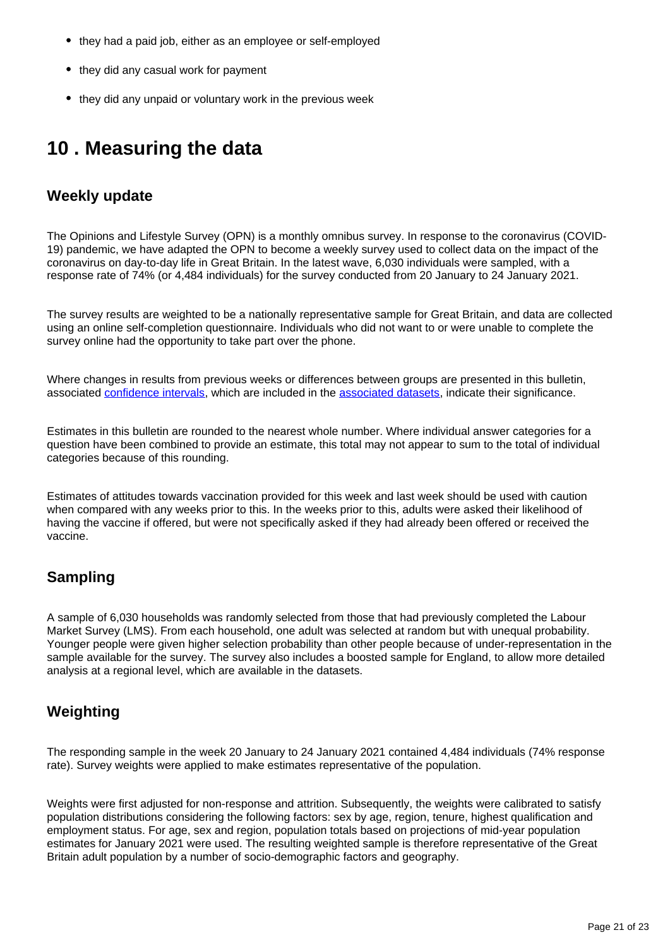- they had a paid job, either as an employee or self-employed
- they did any casual work for payment
- they did any unpaid or voluntary work in the previous week

# <span id="page-20-0"></span>**10 . Measuring the data**

### **Weekly update**

The Opinions and Lifestyle Survey (OPN) is a monthly omnibus survey. In response to the coronavirus (COVID-19) pandemic, we have adapted the OPN to become a weekly survey used to collect data on the impact of the coronavirus on day-to-day life in Great Britain. In the latest wave, 6,030 individuals were sampled, with a response rate of 74% (or 4,484 individuals) for the survey conducted from 20 January to 24 January 2021.

The survey results are weighted to be a nationally representative sample for Great Britain, and data are collected using an online self-completion questionnaire. Individuals who did not want to or were unable to complete the survey online had the opportunity to take part over the phone.

Where changes in results from previous weeks or differences between groups are presented in this bulletin, associated [confidence intervals](https://www.ons.gov.uk/methodology/methodologytopicsandstatisticalconcepts/uncertaintyandhowwemeasureit#confidence-interval), which are included in the [associated datasets,](https://www.ons.gov.uk/peoplepopulationandcommunity/healthandsocialcare/healthandwellbeing/bulletins/coronavirusandthesocialimpactsongreatbritain/29january2021/relateddata) indicate their significance.

Estimates in this bulletin are rounded to the nearest whole number. Where individual answer categories for a question have been combined to provide an estimate, this total may not appear to sum to the total of individual categories because of this rounding.

Estimates of attitudes towards vaccination provided for this week and last week should be used with caution when compared with any weeks prior to this. In the weeks prior to this, adults were asked their likelihood of having the vaccine if offered, but were not specifically asked if they had already been offered or received the vaccine.

## **Sampling**

A sample of 6,030 households was randomly selected from those that had previously completed the Labour Market Survey (LMS). From each household, one adult was selected at random but with unequal probability. Younger people were given higher selection probability than other people because of under-representation in the sample available for the survey. The survey also includes a boosted sample for England, to allow more detailed analysis at a regional level, which are available in the datasets.

## **Weighting**

The responding sample in the week 20 January to 24 January 2021 contained 4,484 individuals (74% response rate). Survey weights were applied to make estimates representative of the population.

Weights were first adjusted for non-response and attrition. Subsequently, the weights were calibrated to satisfy population distributions considering the following factors: sex by age, region, tenure, highest qualification and employment status. For age, sex and region, population totals based on projections of mid-year population estimates for January 2021 were used. The resulting weighted sample is therefore representative of the Great Britain adult population by a number of socio-demographic factors and geography.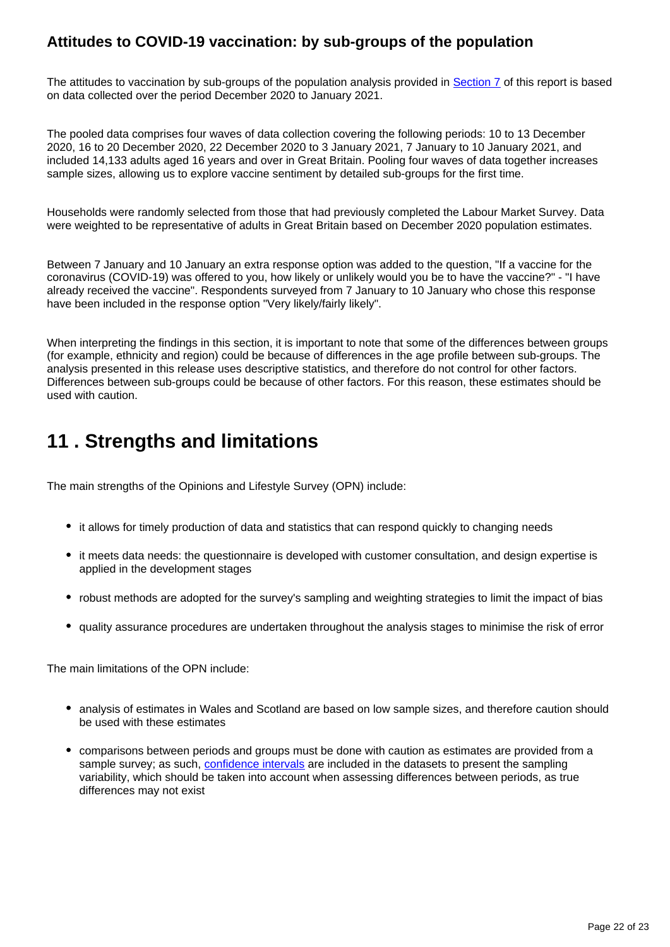## **Attitudes to COVID-19 vaccination: by sub-groups of the population**

The attitudes to vaccination by sub-groups of the population analysis provided in [Section 7](https://www.ons.gov.uk/peoplepopulationandcommunity/healthandsocialcare/healthandwellbeing/bulletins/coronavirusandthesocialimpactsongreatbritain/29january2021#attitudes-to-covid-19-vaccination-by-different-sub-groups-of-the-population) of this report is based on data collected over the period December 2020 to January 2021.

The pooled data comprises four waves of data collection covering the following periods: 10 to 13 December 2020, 16 to 20 December 2020, 22 December 2020 to 3 January 2021, 7 January to 10 January 2021, and included 14,133 adults aged 16 years and over in Great Britain. Pooling four waves of data together increases sample sizes, allowing us to explore vaccine sentiment by detailed sub-groups for the first time.

Households were randomly selected from those that had previously completed the Labour Market Survey. Data were weighted to be representative of adults in Great Britain based on December 2020 population estimates.

Between 7 January and 10 January an extra response option was added to the question, "If a vaccine for the coronavirus (COVID-19) was offered to you, how likely or unlikely would you be to have the vaccine?" - "I have already received the vaccine". Respondents surveyed from 7 January to 10 January who chose this response have been included in the response option "Very likely/fairly likely".

When interpreting the findings in this section, it is important to note that some of the differences between groups (for example, ethnicity and region) could be because of differences in the age profile between sub-groups. The analysis presented in this release uses descriptive statistics, and therefore do not control for other factors. Differences between sub-groups could be because of other factors. For this reason, these estimates should be used with caution.

# <span id="page-21-0"></span>**11 . Strengths and limitations**

The main strengths of the Opinions and Lifestyle Survey (OPN) include:

- it allows for timely production of data and statistics that can respond quickly to changing needs
- it meets data needs: the questionnaire is developed with customer consultation, and design expertise is applied in the development stages
- robust methods are adopted for the survey's sampling and weighting strategies to limit the impact of bias
- quality assurance procedures are undertaken throughout the analysis stages to minimise the risk of error

The main limitations of the OPN include:

- analysis of estimates in Wales and Scotland are based on low sample sizes, and therefore caution should be used with these estimates
- comparisons between periods and groups must be done with caution as estimates are provided from a sample survey; as such, [confidence intervals](https://www.ons.gov.uk/methodology/methodologytopicsandstatisticalconcepts/uncertaintyandhowwemeasureit#confidence-interval) are included in the datasets to present the sampling variability, which should be taken into account when assessing differences between periods, as true differences may not exist